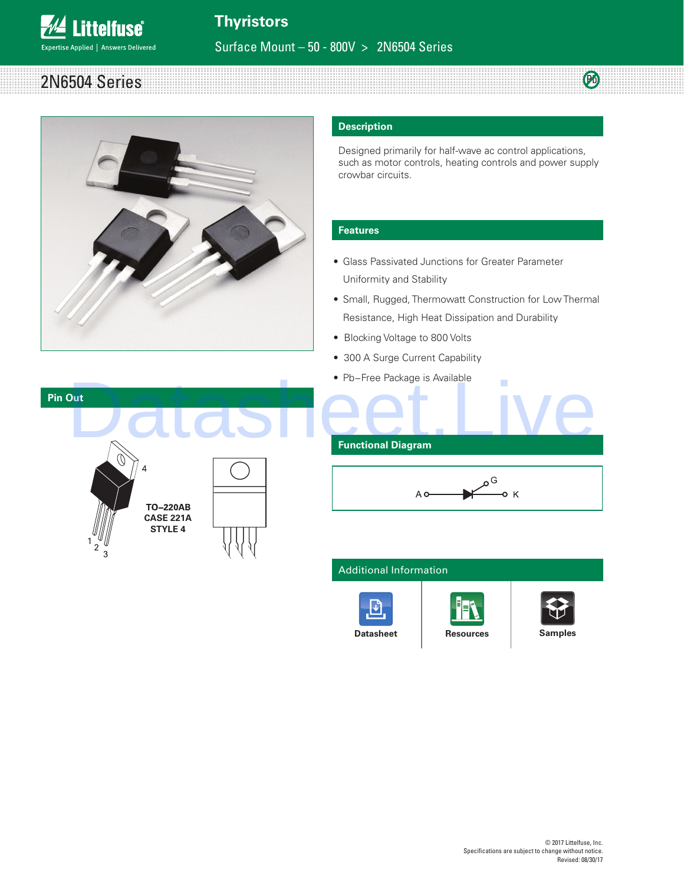## **Thyristors**

Surface Mount – 50 - 800V > 2N6504 Series

#### 2N6504 Series Pb



**Littelfuse**®

Expertise Applied | Answers Delivered

#### **Description**

Designed primarily for half-wave ac control applications, such as motor controls, heating controls and power supply crowbar circuits.

#### **Features**

- Glass Passivated Junctions for Greater Parameter Uniformity and Stability
- Small, Rugged, Thermowatt Construction for Low Thermal Resistance, High Heat Dissipation and Durability
- Blocking Voltage to 800 Volts
- 300 A Surge Current Capability
- Pb−Free Package is Available





A<sub>o</sub>

# Additional Information





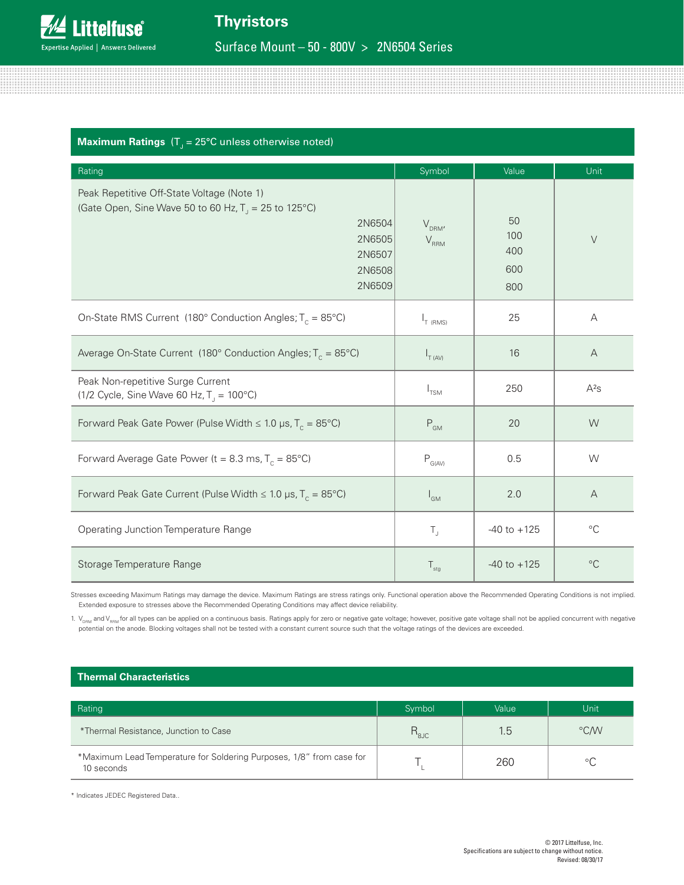### $\bm{\mathsf{Maximum}~Ratings}$  (T $_\mathrm{J}$  = 25°C unless otherwise noted)

| Rating                                                                                                                                                  | Symbol                                       | Value                          | Unit        |
|---------------------------------------------------------------------------------------------------------------------------------------------------------|----------------------------------------------|--------------------------------|-------------|
| Peak Repetitive Off-State Voltage (Note 1)<br>(Gate Open, Sine Wave 50 to 60 Hz, $T_1 = 25$ to 125°C)<br>2N6504<br>2N6505<br>2N6507<br>2N6508<br>2N6509 | $V_{DRM'}$<br>$V_{RRM}$                      | 50<br>100<br>400<br>600<br>800 | $\vee$      |
| On-State RMS Current (180° Conduction Angles; $T_c = 85^{\circ}$ C)                                                                                     | $I_{T(RMS)}$                                 | 25                             | Α           |
| Average On-State Current (180° Conduction Angles; $T_c = 85^{\circ}$ C)                                                                                 | $I_{T (AV)}$                                 | 16                             | A           |
| Peak Non-repetitive Surge Current<br>(1/2 Cycle, Sine Wave 60 Hz, $T_1 = 100^{\circ}C$ )                                                                | $I_{TSM}$                                    | 250                            | $A^2S$      |
| Forward Peak Gate Power (Pulse Width $\leq 1.0$ µs, T <sub>c</sub> = 85°C)                                                                              | $\mathsf{P}_{\scriptscriptstyle\mathsf{GM}}$ | 20                             | W           |
| Forward Average Gate Power (t = 8.3 ms, $T_c = 85^{\circ}$ C)                                                                                           | $\mathsf{P}_{\mathsf{G}(\mathsf{AV})}$       | 0.5                            | W           |
| Forward Peak Gate Current (Pulse Width $\leq 1.0$ µs, T <sub>c</sub> = 85°C)                                                                            | $I_{GM}$                                     | 2.0                            | A           |
| Operating Junction Temperature Range                                                                                                                    | $T_{\rm J}$                                  | $-40$ to $+125$                | $^{\circ}C$ |
| Storage Temperature Range                                                                                                                               | $T_{\text{stg}}$                             | $-40$ to $+125$                | $^{\circ}C$ |

Stresses exceeding Maximum Ratings may damage the device. Maximum Ratings are stress ratings only. Functional operation above the Recommended Operating Conditions is not implied. Extended exposure to stresses above the Recommended Operating Conditions may affect device reliability.

1.  $V_{DRM}$  and V<sub>RRM</sub> for all types can be applied on a continuous basis. Ratings apply for zero or negative gate voltage; however, positive gate voltage shall not be applied concurrent with negative potential on the anode. Blocking voltages shall not be tested with a constant current source such that the voltage ratings of the devices are exceeded.

#### **Thermal Characteristics**

| Rating                                                                             | Symbol                     | Value | Unit          |
|------------------------------------------------------------------------------------|----------------------------|-------|---------------|
| *Thermal Resistance, Junction to Case                                              | $\mathcal{L}_{\text{gJC}}$ | 1.5   | $\degree$ CMV |
| *Maximum Lead Temperature for Soldering Purposes, 1/8" from case for<br>10 seconds |                            | 260   |               |

\* Indicates JEDEC Registered Data..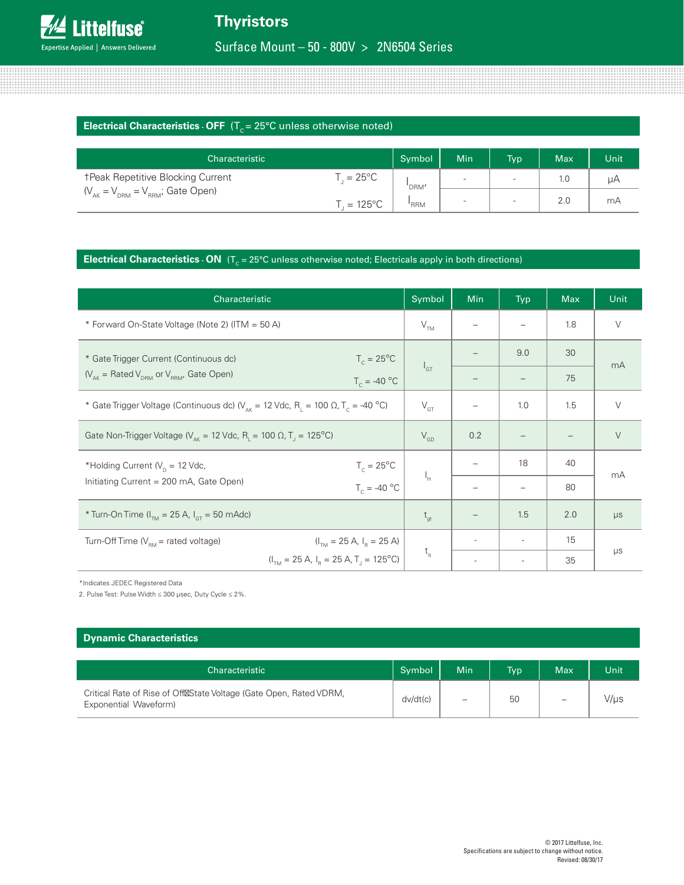#### **Electrical Characteristics - OFF**  $(T_c = 25^{\circ}C$  unless otherwise noted)

| Characteristic                                      |                    | Symbol | <b>Min</b>               | <b>Typ</b>               | <b>Max</b> | Unit |
|-----------------------------------------------------|--------------------|--------|--------------------------|--------------------------|------------|------|
| <b>TPeak Repetitive Blocking Current</b>            | $\bar{ }$ = 25°C   | 'DRM'  | $\overline{\phantom{0}}$ | $\overline{\phantom{a}}$ | 1.0        | μA   |
| $(V_{_{AK}} = V_{_{DRM}} = V_{_{RRM}}$ ; Gate Open) | $L = 125^{\circ}C$ | 'RRM   | $\overline{\phantom{a}}$ | $\overline{\phantom{a}}$ | 2.0        | mA   |

#### **Electrical Characteristics - ON**  $(T_c = 25^{\circ}C$  unless otherwise noted; Electricals apply in both directions)

| Characteristic                                                                                                              | Symbol          | Min | <b>Typ</b>               | <b>Max</b> | Unit    |
|-----------------------------------------------------------------------------------------------------------------------------|-----------------|-----|--------------------------|------------|---------|
| * Forward On-State Voltage (Note 2) (ITM = 50 A)                                                                            | V <sub>TM</sub> |     |                          | 1.8        | $\vee$  |
| * Gate Trigger Current (Continuous dc)<br>$T_c = 25^{\circ}C$                                                               |                 |     | 9.0                      | 30         | mA      |
| $(V_{AK} = \text{Rated } V_{DRM}$ or $V_{RRM}$ , Gate Open)<br>$T_c = -40$ °C                                               | $I_{GT}$        |     |                          | 75         |         |
| * Gate Trigger Voltage (Continuous dc) ( $V_{\text{av}}$ = 12 Vdc, R <sub>1</sub> = 100 $\Omega$ , T <sub>c</sub> = -40 °C) | $V_{GT}$        |     | 1.0                      | 1.5        | $\vee$  |
| Gate Non-Trigger Voltage ( $V_{\text{AK}}$ = 12 Vdc, R <sub>1</sub> = 100 $\Omega$ , T <sub>1</sub> = 125°C)                | $V_{GD}$        | 0.2 |                          |            | $\vee$  |
| $T_c = 25^{\circ}C$<br>*Holding Current ( $V_p$ = 12 Vdc,                                                                   |                 |     | 18                       | 40         | mA      |
| Initiating Current = 200 mA, Gate Open)<br>$T_c = -40$ °C                                                                   | $I_H$           |     |                          | 80         |         |
| * Turn-On Time ( $I_{TM}$ = 25 A, $I_{GT}$ = 50 mAdc)                                                                       | $t_{\rm gt}$    |     | 1.5                      | 2.0        | $\mu s$ |
| Turn-Off Time ( $V_{\text{RM}}$ = rated voltage)<br>$(ITM = 25 A, IR = 25 A)$                                               |                 |     |                          | 15         |         |
| $(I_{TM} = 25 A, I_{B} = 25 A, T_{C} = 125^{\circ}C)$                                                                       |                 |     | $\overline{\phantom{0}}$ | 35         | $\mu s$ |

\*Indicates JEDEC Registered Data

2. Pulse Test: Pulse Width ≤ 300 µsec, Duty Cycle ≤ 2%.

#### **Dynamic Characteristics**

| Characteristic                                                                              | Symbol   | Min <sup>'</sup> | <b>Typ</b> | <b>Max</b> | Unit |
|---------------------------------------------------------------------------------------------|----------|------------------|------------|------------|------|
| Critical Rate of Rise of Off State Voltage (Gate Open, Rated VDRM,<br>Exponential Waveform) | dv/dt(c) | -                | 50         | -          | //µs |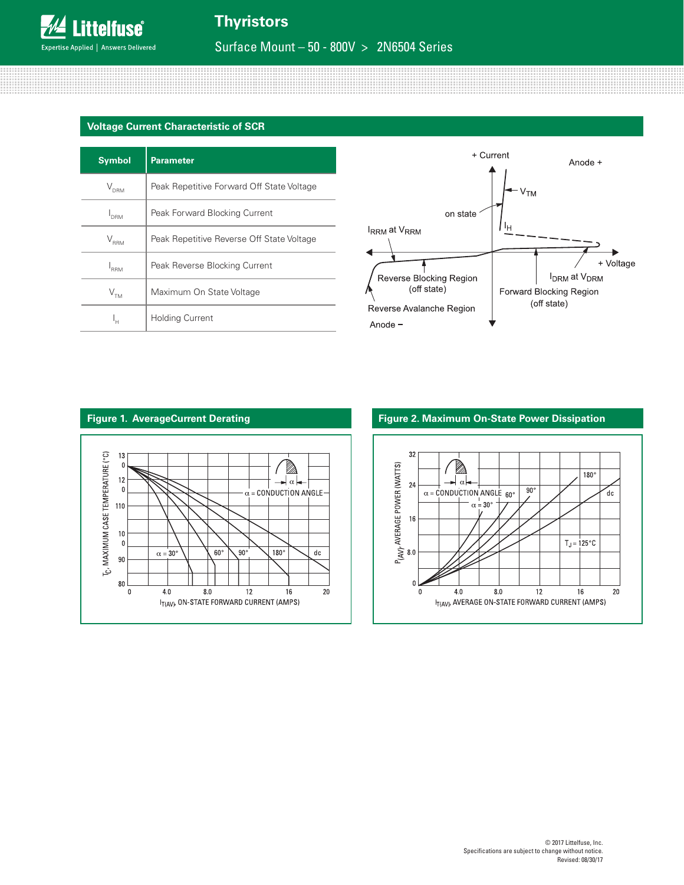#### **Voltage Current Characteristic of SCR**

| <b>Symbol</b>                                                  | <b>Parameter</b>                          |  |
|----------------------------------------------------------------|-------------------------------------------|--|
| $V_{\text{DRM}}$                                               | Peak Repetitive Forward Off State Voltage |  |
| Peak Forward Blocking Current<br><sup>I</sup> DRM              |                                           |  |
| Peak Repetitive Reverse Off State Voltage<br>$\rm V_{\rm RRM}$ |                                           |  |
| <b>RRM</b>                                                     | Peak Reverse Blocking Current             |  |
| $\mathsf{V}_{\sf TM}$                                          | Maximum On State Voltage                  |  |
| <b>Holding Current</b><br>ı' <sup>H</sup>                      |                                           |  |





#### **Figure 1. AverageCurrent Derating Figure 2. Maximum On-State Power Dissipation**

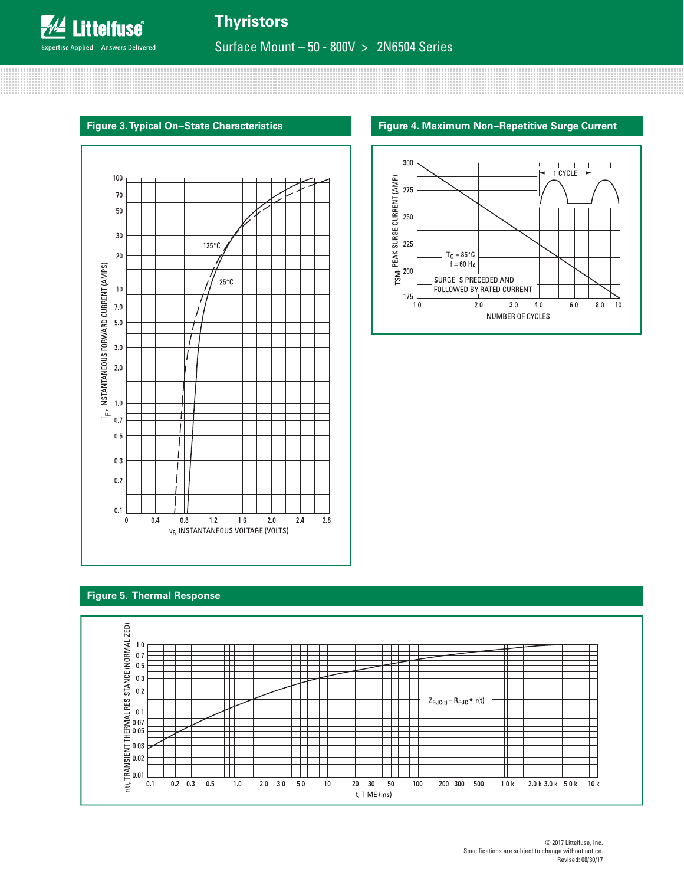**Thyristors**

Surface Mount – 50 - 800V > 2N6504 Series

#### **Figure 3. Typical On−State Characteristics Figure 4. Maximum Non−Repetitive Surge Current**





#### **Figure 5. Thermal Response**

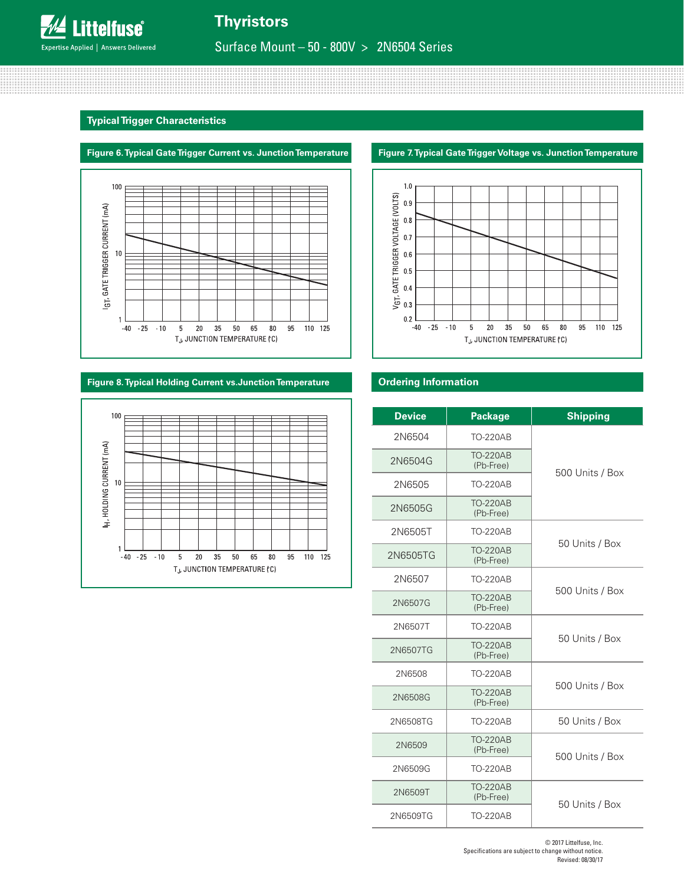#### **Typical Trigger Characteristics**





#### **Figure 8. Typical Holding Current vs.Junction Temperature Ordering Information**





| <b>Device</b> | <b>Package</b>               | <b>Shipping</b> |
|---------------|------------------------------|-----------------|
| 2N6504        | TO-220AB                     |                 |
| 2N6504G       | <b>TO-220AB</b><br>(Pb-Free) | 500 Units / Box |
| 2N6505        | <b>TO-220AB</b>              |                 |
| 2N6505G       | <b>TO-220AB</b><br>(Pb-Free) |                 |
| 2N6505T       | <b>TO-220AB</b>              |                 |
| 2N6505TG      | <b>TO-220AB</b><br>(Pb-Free) | 50 Units / Box  |
| 2N6507        | <b>TO-220AB</b>              |                 |
| 2N6507G       | <b>TO-220AB</b><br>(Pb-Free) | 500 Units / Box |
| 2N6507T       | <b>TO-220AB</b>              |                 |
| 2N6507TG      | <b>TO-220AB</b><br>(Pb-Free) | 50 Units / Box  |
| 2N6508        | <b>TO-220AB</b>              |                 |
| 2N6508G       | <b>TO-220AB</b><br>(Pb-Free) | 500 Units / Box |
| 2N6508TG      | <b>TO-220AB</b>              | 50 Units / Box  |
| 2N6509        | <b>TO-220AB</b><br>(Pb-Free) | 500 Units / Box |
| 2N6509G       | <b>TO-220AB</b>              |                 |
| 2N6509T       | <b>TO-220AB</b><br>(Pb-Free) | 50 Units / Box  |
| 2N6509TG      | <b>TO-220AB</b>              |                 |